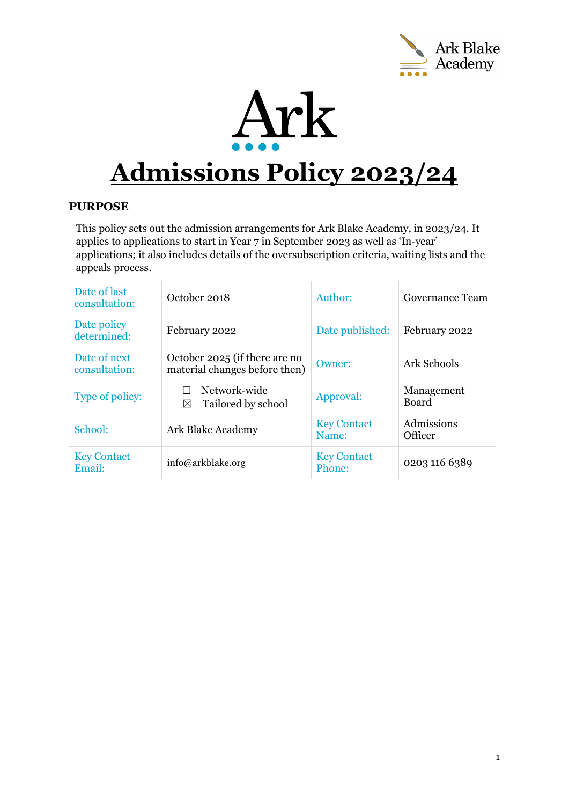



# **Admissions Policy 2023/24**

# **PURPOSE**

This policy sets out the admission arrangements for Ark Blake Academy, in 2023/24. It applies to applications to start in Year 7 in September 2023 as well as 'In-year' applications; it also includes details of the oversubscription criteria, waiting lists and the appeals process.

| Date of last<br>consultation: | October 2018                                                   | Author:                      | Governance Team              |
|-------------------------------|----------------------------------------------------------------|------------------------------|------------------------------|
| Date policy<br>determined:    | February 2022                                                  | Date published:              | February 2022                |
| Date of next<br>consultation: | October 2025 (if there are no<br>material changes before then) | Owner:                       | <b>Ark Schools</b>           |
| Type of policy:               | Network-wide<br>Tailored by school<br>⊠                        | Approval:                    | Management<br><b>Board</b>   |
| School:                       | Ark Blake Academy                                              | <b>Key Contact</b><br>Name:  | Admissions<br><b>Officer</b> |
| <b>Key Contact</b><br>Email:  | info@arkblake.org                                              | <b>Key Contact</b><br>Phone: | 0203 116 6389                |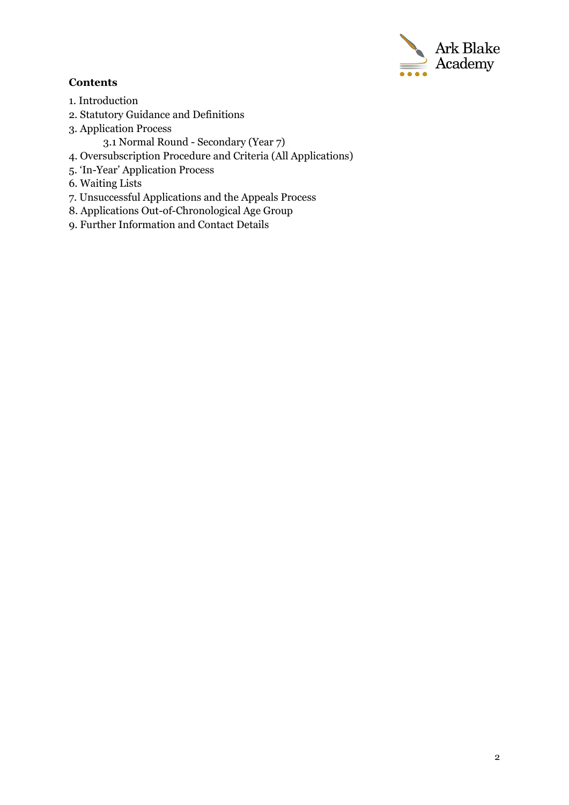

# **Contents**

- 1. Introduction
- 2. Statutory Guidance and Definitions
- 3. Application Process
	- 3.1 Normal Round Secondary (Year 7)
- 4. Oversubscription Procedure and Criteria (All Applications)
- 5. 'In-Year' Application Process
- 6. Waiting Lists
- 7. Unsuccessful Applications and the Appeals Process
- 8. Applications Out-of-Chronological Age Group
- 9. Further Information and Contact Details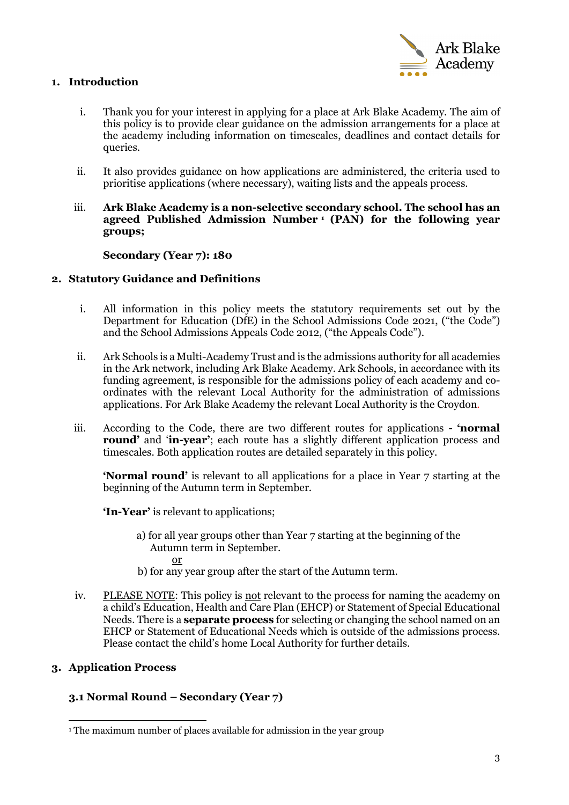

## **1. Introduction**

- i. Thank you for your interest in applying for a place at Ark Blake Academy. The aim of this policy is to provide clear guidance on the admission arrangements for a place at the academy including information on timescales, deadlines and contact details for queries.
- ii. It also provides guidance on how applications are administered, the criteria used to prioritise applications (where necessary), waiting lists and the appeals process.
- iii. **Ark Blake Academy is a non-selective secondary school. The school has an agreed Published Admission Number [1](#page-2-0) (PAN) for the following year groups;**

#### **Secondary (Year 7): 180**

#### **2. Statutory Guidance and Definitions**

- i. All information in this policy meets the statutory requirements set out by the Department for Education (DfE) in the School Admissions Code 2021, ("the Code") and the School Admissions Appeals Code 2012, ("the Appeals Code").
- ii. Ark Schools is a Multi-Academy Trust and is the admissions authority for all academies in the Ark network, including Ark Blake Academy. Ark Schools, in accordance with its funding agreement, is responsible for the admissions policy of each academy and coordinates with the relevant Local Authority for the administration of admissions applications. For Ark Blake Academy the relevant Local Authority is the Croydon.
- iii. According to the Code, there are two different routes for applications **'normal round'** and '**in-year'**; each route has a slightly different application process and timescales. Both application routes are detailed separately in this policy.

**'Normal round'** is relevant to all applications for a place in Year 7 starting at the beginning of the Autumn term in September.

**'In-Year'** is relevant to applications;

- a) for all year groups other than Year 7 starting at the beginning of the Autumn term in September. or
- b) for any year group after the start of the Autumn term.
- iv. PLEASE NOTE: This policy is not relevant to the process for naming the academy on a child's Education, Health and Care Plan (EHCP) or Statement of Special Educational Needs. There is a **separate process** for selecting or changing the school named on an EHCP or Statement of Educational Needs which is outside of the admissions process. Please contact the child's home Local Authority for further details.

## **3. Application Process**

## **3.1 Normal Round – Secondary (Year 7)**

<span id="page-2-0"></span><sup>&</sup>lt;sup>1</sup> The maximum number of places available for admission in the year group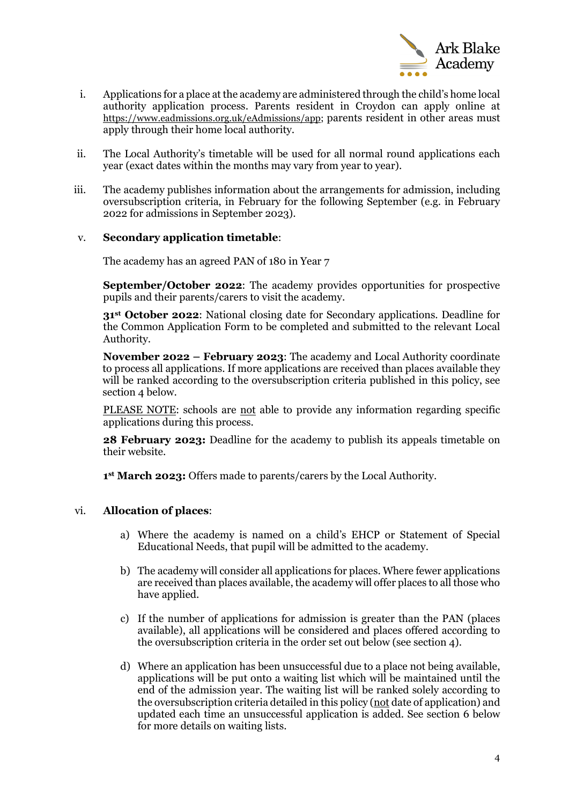

- i. Applications for a place at the academy are administered through the child's home local authority application process. Parents resident in Croydon can apply online at [https://www.eadmissions.org.uk/eAdmissions/app;](https://www.eadmissions.org.uk/eAdmissions/app) parents resident in other areas must apply through their home local authority.
- ii. The Local Authority's timetable will be used for all normal round applications each year (exact dates within the months may vary from year to year).
- iii. The academy publishes information about the arrangements for admission, including oversubscription criteria, in February for the following September (e.g. in February 2022 for admissions in September 2023).

#### v. **Secondary application timetable**:

The academy has an agreed PAN of 180 in Year 7

**September/October 2022**: The academy provides opportunities for prospective pupils and their parents/carers to visit the academy.

**31st October 2022**: National closing date for Secondary applications. Deadline for the Common Application Form to be completed and submitted to the relevant Local Authority.

**November 2022 – February 2023**: The academy and Local Authority coordinate to process all applications. If more applications are received than places available they will be ranked according to the oversubscription criteria published in this policy, see section 4 below.

PLEASE NOTE: schools are not able to provide any information regarding specific applications during this process.

**28 February 2023:** Deadline for the academy to publish its appeals timetable on their website.

**1st March 2023:** Offers made to parents/carers by the Local Authority.

#### vi. **Allocation of places**:

- a) Where the academy is named on a child's EHCP or Statement of Special Educational Needs, that pupil will be admitted to the academy.
- b) The academy will consider all applications for places. Where fewer applications are received than places available, the academy will offer places to all those who have applied.
- c) If the number of applications for admission is greater than the PAN (places available), all applications will be considered and places offered according to the oversubscription criteria in the order set out below (see section 4).
- d) Where an application has been unsuccessful due to a place not being available, applications will be put onto a waiting list which will be maintained until the end of the admission year. The waiting list will be ranked solely according to the oversubscription criteria detailed in this policy (not date of application) and updated each time an unsuccessful application is added. See section 6 below for more details on waiting lists.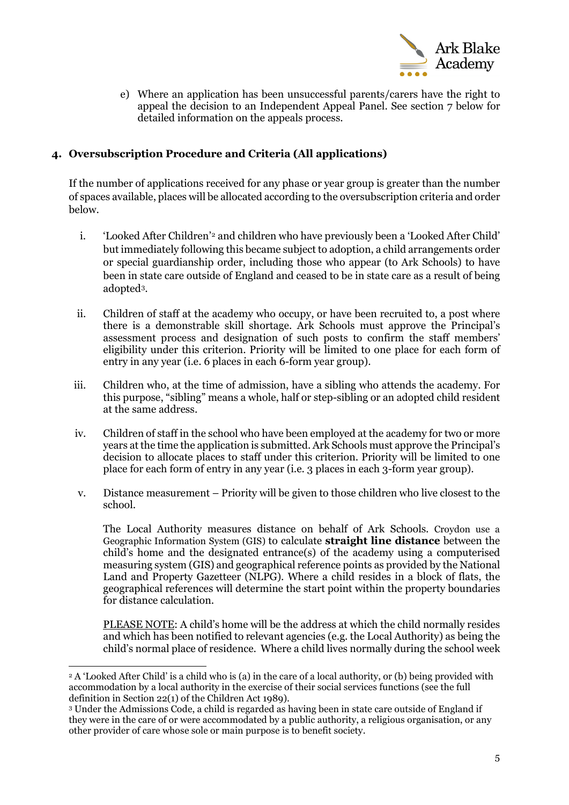

e) Where an application has been unsuccessful parents/carers have the right to appeal the decision to an Independent Appeal Panel. See section 7 below for detailed information on the appeals process.

## **4. Oversubscription Procedure and Criteria (All applications)**

If the number of applications received for any phase or year group is greater than the number of spaces available, places will be allocated according to the oversubscription criteria and order below.

- i. 'Looked After Children'[2](#page-4-0) and children who have previously been a 'Looked After Child' but immediately following this became subject to adoption, a child arrangements order or special guardianship order, including those who appear (to Ark Schools) to have been in state care outside of England and ceased to be in state care as a result of being adopted[3.](#page-4-1)
- ii. Children of staff at the academy who occupy, or have been recruited to, a post where there is a demonstrable skill shortage. Ark Schools must approve the Principal's assessment process and designation of such posts to confirm the staff members' eligibility under this criterion. Priority will be limited to one place for each form of entry in any year (i.e. 6 places in each 6-form year group).
- iii. Children who, at the time of admission, have a sibling who attends the academy. For this purpose, "sibling" means a whole, half or step-sibling or an adopted child resident at the same address.
- iv. Children of staff in the school who have been employed at the academy for two or more years at the time the application is submitted. Ark Schools must approve the Principal's decision to allocate places to staff under this criterion. Priority will be limited to one place for each form of entry in any year (i.e. 3 places in each 3-form year group).
- v. Distance measurement Priority will be given to those children who live closest to the school.

The Local Authority measures distance on behalf of Ark Schools. Croydon use a Geographic Information System (GIS) to calculate **straight line distance** between the child's home and the designated entrance(s) of the academy using a computerised measuring system (GIS) and geographical reference points as provided by the National Land and Property Gazetteer (NLPG). Where a child resides in a block of flats, the geographical references will determine the start point within the property boundaries for distance calculation.

PLEASE NOTE: A child's home will be the address at which the child normally resides and which has been notified to relevant agencies (e.g. the Local Authority) as being the child's normal place of residence. Where a child lives normally during the school week

<span id="page-4-0"></span><sup>2</sup> A 'Looked After Child' is a child who is (a) in the care of a local authority, or (b) being provided with accommodation by a local authority in the exercise of their social services functions (see the full definition in Section 22(1) of the Children Act 1989).

<span id="page-4-1"></span><sup>3</sup> Under the Admissions Code, a child is regarded as having been in state care outside of England if they were in the care of or were accommodated by a public authority, a religious organisation, or any other provider of care whose sole or main purpose is to benefit society.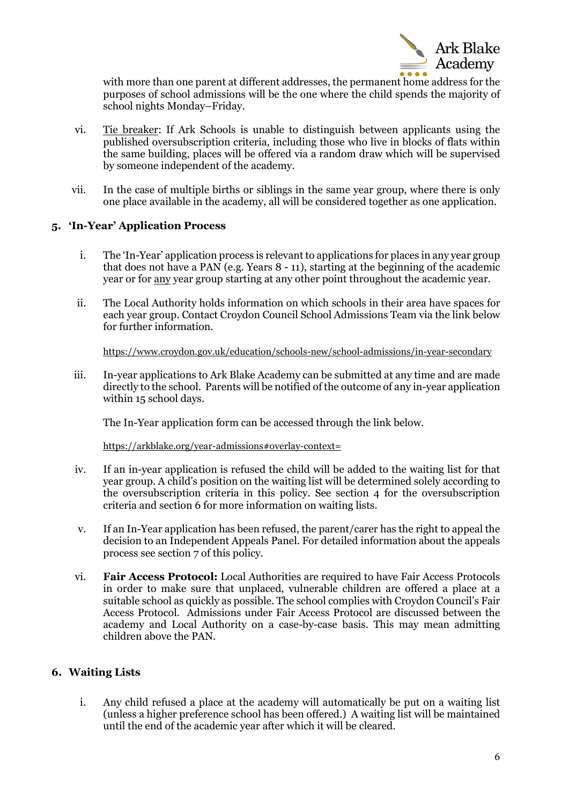

with more than one parent at different addresses, the permanent home address for the purposes of school admissions will be the one where the child spends the majority of school nights Monday–Friday.

- vi. Tie breaker: If Ark Schools is unable to distinguish between applicants using the published oversubscription criteria, including those who live in blocks of flats within the same building, places will be offered via a random draw which will be supervised by someone independent of the academy.
- vii. In the case of multiple births or siblings in the same year group, where there is only one place available in the academy, all will be considered together as one application.

#### **5. 'In-Year' Application Process**

- i. The 'In-Year' application process is relevant to applications for places in any year group that does not have a PAN (e.g. Years 8 - 11), starting at the beginning of the academic year or for any year group starting at any other point throughout the academic year.
- ii. The Local Authority holds information on which schools in their area have spaces for each year group. Contact Croydon Council School Admissions Team via the link below for further information.

<https://www.croydon.gov.uk/education/schools-new/school-admissions/in-year-secondary>

iii. In-year applications to Ark Blake Academy can be submitted at any time and are made directly to the school. Parents will be notified of the outcome of any in-year application within 15 school days.

The In-Year application form can be accessed through the link below.

<https://arkblake.org/year-admissions#overlay-context=>

- iv. If an in-year application is refused the child will be added to the waiting list for that year group. A child's position on the waiting list will be determined solely according to the oversubscription criteria in this policy. See section 4 for the oversubscription criteria and section 6 for more information on waiting lists.
- v. If an In-Year application has been refused, the parent/carer has the right to appeal the decision to an Independent Appeals Panel. For detailed information about the appeals process see section 7 of this policy.
- vi. **Fair Access Protocol:** Local Authorities are required to have Fair Access Protocols in order to make sure that unplaced, vulnerable children are offered a place at a suitable school as quickly as possible. The school complies with Croydon Council's Fair Access Protocol. Admissions under Fair Access Protocol are discussed between the academy and Local Authority on a case-by-case basis. This may mean admitting children above the PAN.

## **6. Waiting Lists**

i. Any child refused a place at the academy will automatically be put on a waiting list (unless a higher preference school has been offered.) A waiting list will be maintained until the end of the academic year after which it will be cleared.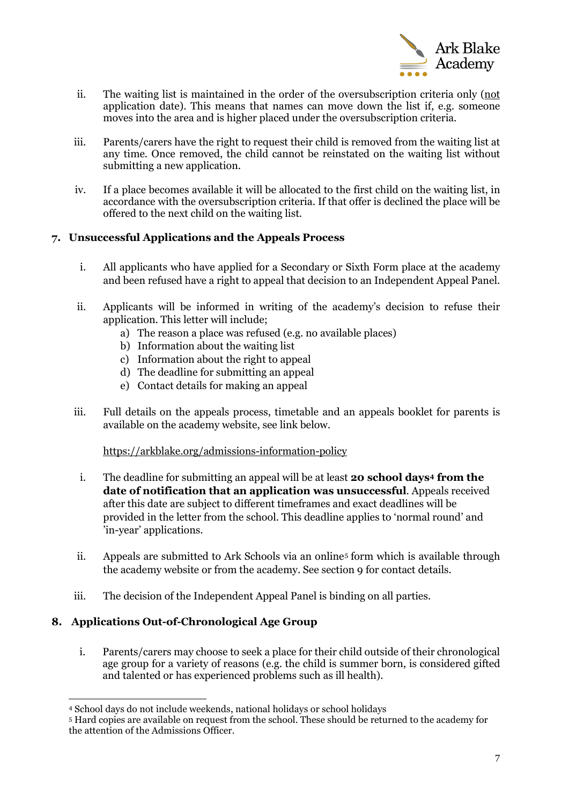

- ii. The waiting list is maintained in the order of the oversubscription criteria only (not application date). This means that names can move down the list if, e.g. someone moves into the area and is higher placed under the oversubscription criteria.
- iii. Parents/carers have the right to request their child is removed from the waiting list at any time. Once removed, the child cannot be reinstated on the waiting list without submitting a new application.
- iv. If a place becomes available it will be allocated to the first child on the waiting list, in accordance with the oversubscription criteria. If that offer is declined the place will be offered to the next child on the waiting list.

## **7. Unsuccessful Applications and the Appeals Process**

- i. All applicants who have applied for a Secondary or Sixth Form place at the academy and been refused have a right to appeal that decision to an Independent Appeal Panel.
- ii. Applicants will be informed in writing of the academy's decision to refuse their application. This letter will include;
	- a) The reason a place was refused (e.g. no available places)
	- b) Information about the waiting list
	- c) Information about the right to appeal
	- d) The deadline for submitting an appeal
	- e) Contact details for making an appeal
- iii. Full details on the appeals process, timetable and an appeals booklet for parents is available on the academy website, see link below.

## <https://arkblake.org/admissions-information-policy>

- i. The deadline for submitting an appeal will be at least **20 school days[4](#page-6-0) from the date of notification that an application was unsuccessful**. Appeals received after this date are subject to different timeframes and exact deadlines will be provided in the letter from the school. This deadline applies to 'normal round' and 'in-year' applications.
- ii. Appeals are submitted to Ark Schools via an online<sup>[5](#page-6-1)</sup> form which is available through the academy website or from the academy. See section 9 for contact details.
- iii. The decision of the Independent Appeal Panel is binding on all parties.

## **8. Applications Out-of-Chronological Age Group**

i. Parents/carers may choose to seek a place for their child outside of their chronological age group for a variety of reasons (e.g. the child is summer born, is considered gifted and talented or has experienced problems such as ill health).

<span id="page-6-0"></span><sup>4</sup> School days do not include weekends, national holidays or school holidays

<span id="page-6-1"></span><sup>5</sup> Hard copies are available on request from the school. These should be returned to the academy for the attention of the Admissions Officer.